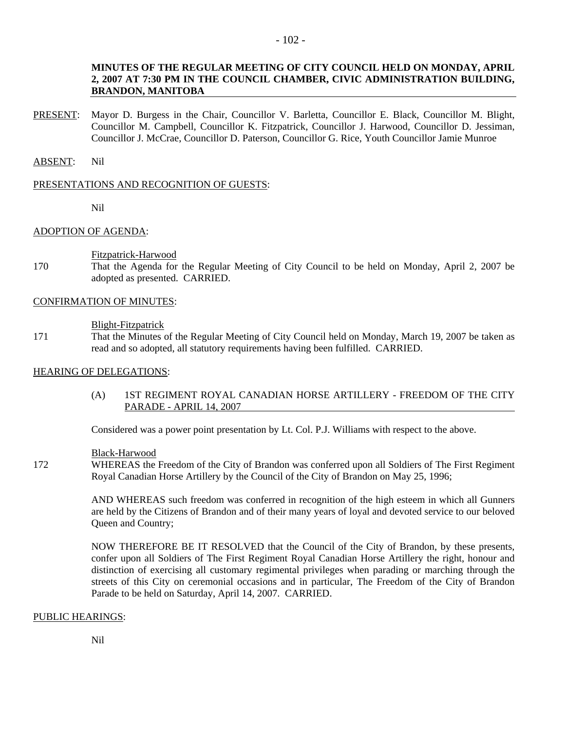# **MINUTES OF THE REGULAR MEETING OF CITY COUNCIL HELD ON MONDAY, APRIL 2, 2007 AT 7:30 PM IN THE COUNCIL CHAMBER, CIVIC ADMINISTRATION BUILDING, BRANDON, MANITOBA**

PRESENT: Mayor D. Burgess in the Chair, Councillor V. Barletta, Councillor E. Black, Councillor M. Blight, Councillor M. Campbell, Councillor K. Fitzpatrick, Councillor J. Harwood, Councillor D. Jessiman, Councillor J. McCrae, Councillor D. Paterson, Councillor G. Rice, Youth Councillor Jamie Munroe

#### ABSENT: Nil

#### PRESENTATIONS AND RECOGNITION OF GUESTS:

Nil

# ADOPTION OF AGENDA:

Fitzpatrick-Harwood

170 That the Agenda for the Regular Meeting of City Council to be held on Monday, April 2, 2007 be adopted as presented. CARRIED.

# CONFIRMATION OF MINUTES:

#### Blight-Fitzpatrick

171 That the Minutes of the Regular Meeting of City Council held on Monday, March 19, 2007 be taken as read and so adopted, all statutory requirements having been fulfilled. CARRIED.

# HEARING OF DELEGATIONS:

(A) 1ST REGIMENT ROYAL CANADIAN HORSE ARTILLERY - FREEDOM OF THE CITY PARADE - APRIL 14, 2007

Considered was a power point presentation by Lt. Col. P.J. Williams with respect to the above.

#### Black-Harwood

172 WHEREAS the Freedom of the City of Brandon was conferred upon all Soldiers of The First Regiment Royal Canadian Horse Artillery by the Council of the City of Brandon on May 25, 1996;

> AND WHEREAS such freedom was conferred in recognition of the high esteem in which all Gunners are held by the Citizens of Brandon and of their many years of loyal and devoted service to our beloved Queen and Country;

> NOW THEREFORE BE IT RESOLVED that the Council of the City of Brandon, by these presents, confer upon all Soldiers of The First Regiment Royal Canadian Horse Artillery the right, honour and distinction of exercising all customary regimental privileges when parading or marching through the streets of this City on ceremonial occasions and in particular, The Freedom of the City of Brandon Parade to be held on Saturday, April 14, 2007. CARRIED.

# PUBLIC HEARINGS: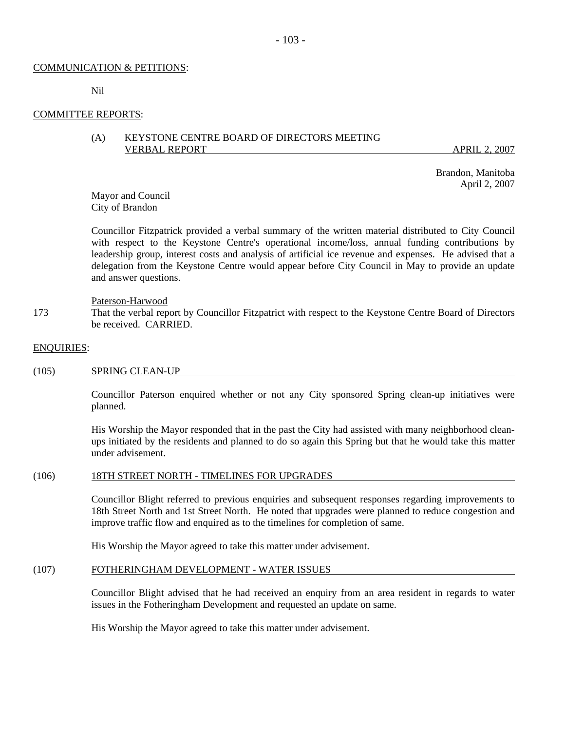# COMMUNICATION & PETITIONS:

Nil

# COMMITTEE REPORTS:

# (A) KEYSTONE CENTRE BOARD OF DIRECTORS MEETING VERBAL REPORT APRIL 2, 2007

 Brandon, Manitoba April 2, 2007

Mayor and Council City of Brandon

Councillor Fitzpatrick provided a verbal summary of the written material distributed to City Council with respect to the Keystone Centre's operational income/loss, annual funding contributions by leadership group, interest costs and analysis of artificial ice revenue and expenses. He advised that a delegation from the Keystone Centre would appear before City Council in May to provide an update and answer questions.

Paterson-Harwood

173 That the verbal report by Councillor Fitzpatrict with respect to the Keystone Centre Board of Directors be received. CARRIED.

#### ENQUIRIES:

#### (105) SPRING CLEAN-UP

Councillor Paterson enquired whether or not any City sponsored Spring clean-up initiatives were planned.

His Worship the Mayor responded that in the past the City had assisted with many neighborhood cleanups initiated by the residents and planned to do so again this Spring but that he would take this matter under advisement.

# (106) 18TH STREET NORTH - TIMELINES FOR UPGRADES

Councillor Blight referred to previous enquiries and subsequent responses regarding improvements to 18th Street North and 1st Street North. He noted that upgrades were planned to reduce congestion and improve traffic flow and enquired as to the timelines for completion of same.

His Worship the Mayor agreed to take this matter under advisement.

#### (107) FOTHERINGHAM DEVELOPMENT - WATER ISSUES

Councillor Blight advised that he had received an enquiry from an area resident in regards to water issues in the Fotheringham Development and requested an update on same.

His Worship the Mayor agreed to take this matter under advisement.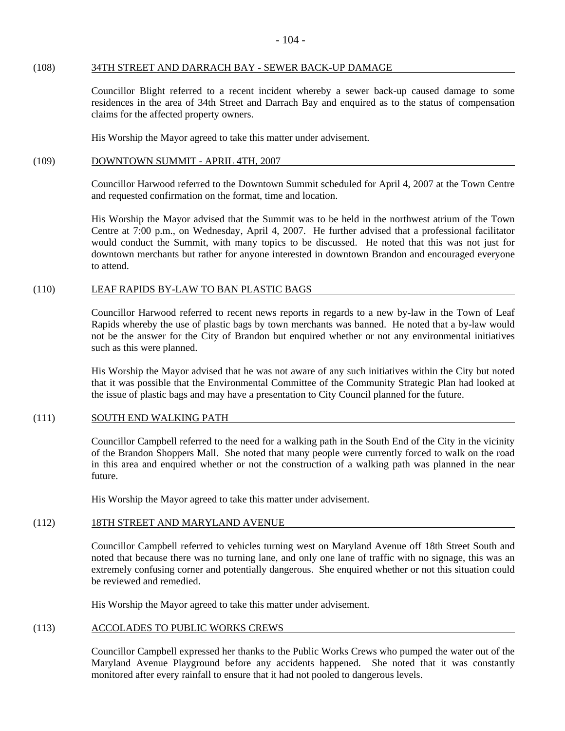#### (108) 34TH STREET AND DARRACH BAY - SEWER BACK-UP DAMAGE

Councillor Blight referred to a recent incident whereby a sewer back-up caused damage to some residences in the area of 34th Street and Darrach Bay and enquired as to the status of compensation claims for the affected property owners.

His Worship the Mayor agreed to take this matter under advisement.

#### (109) DOWNTOWN SUMMIT - APRIL 4TH, 2007

Councillor Harwood referred to the Downtown Summit scheduled for April 4, 2007 at the Town Centre and requested confirmation on the format, time and location.

His Worship the Mayor advised that the Summit was to be held in the northwest atrium of the Town Centre at 7:00 p.m., on Wednesday, April 4, 2007. He further advised that a professional facilitator would conduct the Summit, with many topics to be discussed. He noted that this was not just for downtown merchants but rather for anyone interested in downtown Brandon and encouraged everyone to attend.

# (110) LEAF RAPIDS BY-LAW TO BAN PLASTIC BAGS

Councillor Harwood referred to recent news reports in regards to a new by-law in the Town of Leaf Rapids whereby the use of plastic bags by town merchants was banned. He noted that a by-law would not be the answer for the City of Brandon but enquired whether or not any environmental initiatives such as this were planned.

His Worship the Mayor advised that he was not aware of any such initiatives within the City but noted that it was possible that the Environmental Committee of the Community Strategic Plan had looked at the issue of plastic bags and may have a presentation to City Council planned for the future.

#### (111) SOUTH END WALKING PATH

Councillor Campbell referred to the need for a walking path in the South End of the City in the vicinity of the Brandon Shoppers Mall. She noted that many people were currently forced to walk on the road in this area and enquired whether or not the construction of a walking path was planned in the near future.

His Worship the Mayor agreed to take this matter under advisement.

# (112) 18TH STREET AND MARYLAND AVENUE

Councillor Campbell referred to vehicles turning west on Maryland Avenue off 18th Street South and noted that because there was no turning lane, and only one lane of traffic with no signage, this was an extremely confusing corner and potentially dangerous. She enquired whether or not this situation could be reviewed and remedied.

His Worship the Mayor agreed to take this matter under advisement.

# (113) ACCOLADES TO PUBLIC WORKS CREWS

Councillor Campbell expressed her thanks to the Public Works Crews who pumped the water out of the Maryland Avenue Playground before any accidents happened. She noted that it was constantly monitored after every rainfall to ensure that it had not pooled to dangerous levels.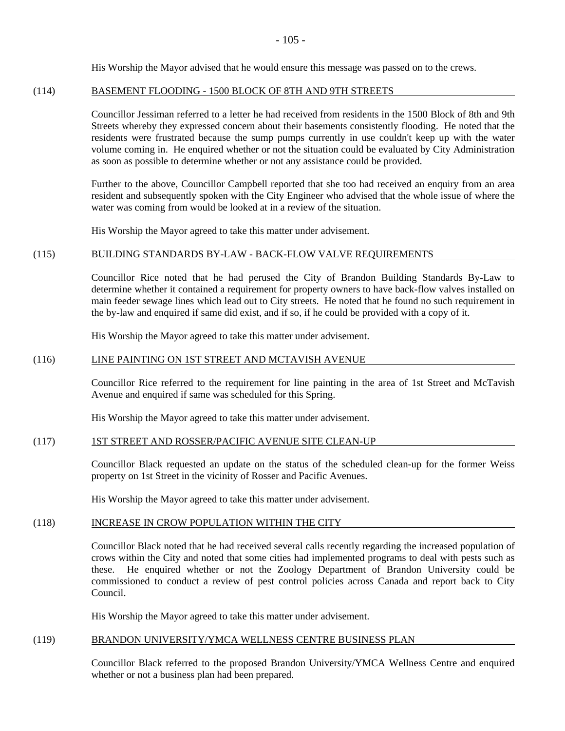His Worship the Mayor advised that he would ensure this message was passed on to the crews.

# (114) BASEMENT FLOODING - 1500 BLOCK OF 8TH AND 9TH STREETS

Councillor Jessiman referred to a letter he had received from residents in the 1500 Block of 8th and 9th Streets whereby they expressed concern about their basements consistently flooding. He noted that the residents were frustrated because the sump pumps currently in use couldn't keep up with the water volume coming in. He enquired whether or not the situation could be evaluated by City Administration as soon as possible to determine whether or not any assistance could be provided.

Further to the above, Councillor Campbell reported that she too had received an enquiry from an area resident and subsequently spoken with the City Engineer who advised that the whole issue of where the water was coming from would be looked at in a review of the situation.

His Worship the Mayor agreed to take this matter under advisement.

# (115) BUILDING STANDARDS BY-LAW - BACK-FLOW VALVE REQUIREMENTS

Councillor Rice noted that he had perused the City of Brandon Building Standards By-Law to determine whether it contained a requirement for property owners to have back-flow valves installed on main feeder sewage lines which lead out to City streets. He noted that he found no such requirement in the by-law and enquired if same did exist, and if so, if he could be provided with a copy of it.

His Worship the Mayor agreed to take this matter under advisement.

# (116) LINE PAINTING ON 1ST STREET AND MCTAVISH AVENUE

Councillor Rice referred to the requirement for line painting in the area of 1st Street and McTavish Avenue and enquired if same was scheduled for this Spring.

His Worship the Mayor agreed to take this matter under advisement.

# (117) 1ST STREET AND ROSSER/PACIFIC AVENUE SITE CLEAN-UP

Councillor Black requested an update on the status of the scheduled clean-up for the former Weiss property on 1st Street in the vicinity of Rosser and Pacific Avenues.

His Worship the Mayor agreed to take this matter under advisement.

# (118) INCREASE IN CROW POPULATION WITHIN THE CITY

Councillor Black noted that he had received several calls recently regarding the increased population of crows within the City and noted that some cities had implemented programs to deal with pests such as these. He enquired whether or not the Zoology Department of Brandon University could be commissioned to conduct a review of pest control policies across Canada and report back to City Council.

His Worship the Mayor agreed to take this matter under advisement.

# (119) BRANDON UNIVERSITY/YMCA WELLNESS CENTRE BUSINESS PLAN

Councillor Black referred to the proposed Brandon University/YMCA Wellness Centre and enquired whether or not a business plan had been prepared.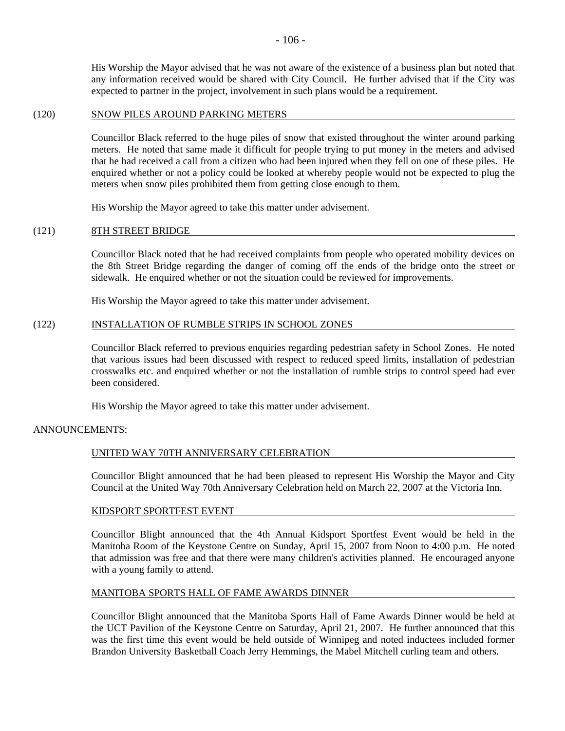His Worship the Mayor advised that he was not aware of the existence of a business plan but noted that any information received would be shared with City Council. He further advised that if the City was expected to partner in the project, involvement in such plans would be a requirement.

#### (120) SNOW PILES AROUND PARKING METERS

Councillor Black referred to the huge piles of snow that existed throughout the winter around parking meters. He noted that same made it difficult for people trying to put money in the meters and advised that he had received a call from a citizen who had been injured when they fell on one of these piles. He enquired whether or not a policy could be looked at whereby people would not be expected to plug the meters when snow piles prohibited them from getting close enough to them.

His Worship the Mayor agreed to take this matter under advisement.

# (121) 8TH STREET BRIDGE

Councillor Black noted that he had received complaints from people who operated mobility devices on the 8th Street Bridge regarding the danger of coming off the ends of the bridge onto the street or sidewalk. He enquired whether or not the situation could be reviewed for improvements.

His Worship the Mayor agreed to take this matter under advisement.

#### (122) INSTALLATION OF RUMBLE STRIPS IN SCHOOL ZONES

Councillor Black referred to previous enquiries regarding pedestrian safety in School Zones. He noted that various issues had been discussed with respect to reduced speed limits, installation of pedestrian crosswalks etc. and enquired whether or not the installation of rumble strips to control speed had ever been considered.

His Worship the Mayor agreed to take this matter under advisement.

# ANNOUNCEMENTS:

#### UNITED WAY 70TH ANNIVERSARY CELEBRATION

Councillor Blight announced that he had been pleased to represent His Worship the Mayor and City Council at the United Way 70th Anniversary Celebration held on March 22, 2007 at the Victoria Inn.

#### KIDSPORT SPORTFEST EVENT

Councillor Blight announced that the 4th Annual Kidsport Sportfest Event would be held in the Manitoba Room of the Keystone Centre on Sunday, April 15, 2007 from Noon to 4:00 p.m. He noted that admission was free and that there were many children's activities planned. He encouraged anyone with a young family to attend.

#### MANITOBA SPORTS HALL OF FAME AWARDS DINNER

Councillor Blight announced that the Manitoba Sports Hall of Fame Awards Dinner would be held at the UCT Pavilion of the Keystone Centre on Saturday, April 21, 2007. He further announced that this was the first time this event would be held outside of Winnipeg and noted inductees included former Brandon University Basketball Coach Jerry Hemmings, the Mabel Mitchell curling team and others.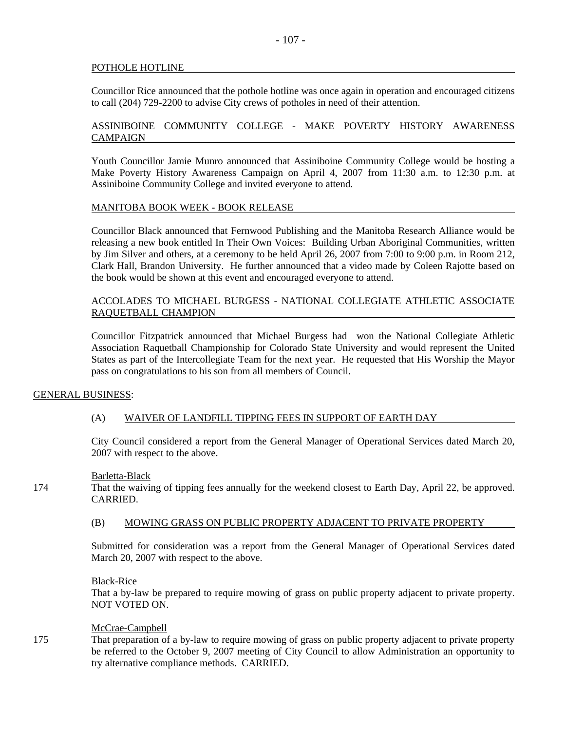# POTHOLE HOTLINE

Councillor Rice announced that the pothole hotline was once again in operation and encouraged citizens to call (204) 729-2200 to advise City crews of potholes in need of their attention.

# ASSINIBOINE COMMUNITY COLLEGE - MAKE POVERTY HISTORY AWARENESS CAMPAIGN

Youth Councillor Jamie Munro announced that Assiniboine Community College would be hosting a Make Poverty History Awareness Campaign on April 4, 2007 from 11:30 a.m. to 12:30 p.m. at Assiniboine Community College and invited everyone to attend.

# MANITOBA BOOK WEEK - BOOK RELEASE

Councillor Black announced that Fernwood Publishing and the Manitoba Research Alliance would be releasing a new book entitled In Their Own Voices: Building Urban Aboriginal Communities, written by Jim Silver and others, at a ceremony to be held April 26, 2007 from 7:00 to 9:00 p.m. in Room 212, Clark Hall, Brandon University. He further announced that a video made by Coleen Rajotte based on the book would be shown at this event and encouraged everyone to attend.

# ACCOLADES TO MICHAEL BURGESS - NATIONAL COLLEGIATE ATHLETIC ASSOCIATE RAQUETBALL CHAMPION

Councillor Fitzpatrick announced that Michael Burgess had won the National Collegiate Athletic Association Raquetball Championship for Colorado State University and would represent the United States as part of the Intercollegiate Team for the next year. He requested that His Worship the Mayor pass on congratulations to his son from all members of Council.

# GENERAL BUSINESS:

# (A) WAIVER OF LANDFILL TIPPING FEES IN SUPPORT OF EARTH DAY

City Council considered a report from the General Manager of Operational Services dated March 20, 2007 with respect to the above.

# Barletta-Black

174 That the waiving of tipping fees annually for the weekend closest to Earth Day, April 22, be approved. CARRIED.

# (B) MOWING GRASS ON PUBLIC PROPERTY ADJACENT TO PRIVATE PROPERTY

Submitted for consideration was a report from the General Manager of Operational Services dated March 20, 2007 with respect to the above.

# Black-Rice

That a by-law be prepared to require mowing of grass on public property adjacent to private property. NOT VOTED ON.

# McCrae-Campbell

175 That preparation of a by-law to require mowing of grass on public property adjacent to private property be referred to the October 9, 2007 meeting of City Council to allow Administration an opportunity to try alternative compliance methods. CARRIED.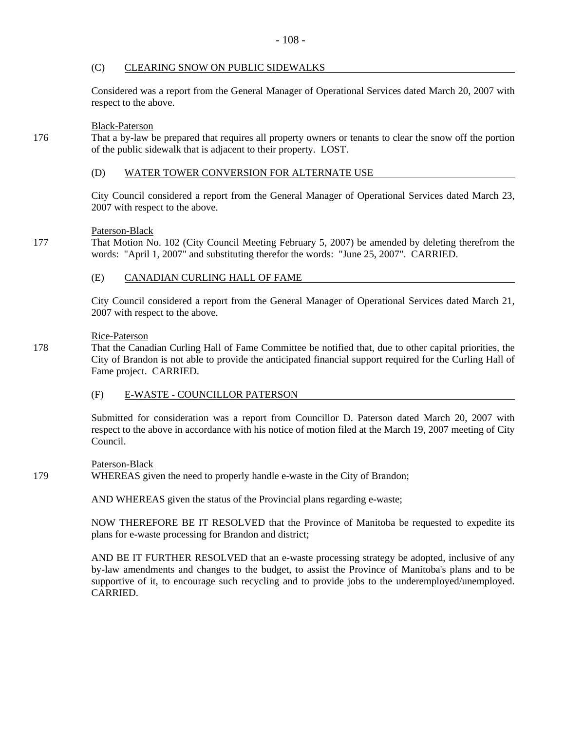# (C) CLEARING SNOW ON PUBLIC SIDEWALKS

Considered was a report from the General Manager of Operational Services dated March 20, 2007 with respect to the above.

# Black-Paterson

176 That a by-law be prepared that requires all property owners or tenants to clear the snow off the portion of the public sidewalk that is adjacent to their property. LOST.

# (D) WATER TOWER CONVERSION FOR ALTERNATE USE

City Council considered a report from the General Manager of Operational Services dated March 23, 2007 with respect to the above.

# Paterson-Black

177 That Motion No. 102 (City Council Meeting February 5, 2007) be amended by deleting therefrom the words: "April 1, 2007" and substituting therefor the words: "June 25, 2007". CARRIED.

# (E) CANADIAN CURLING HALL OF FAME

City Council considered a report from the General Manager of Operational Services dated March 21, 2007 with respect to the above.

# Rice-Paterson

178 That the Canadian Curling Hall of Fame Committee be notified that, due to other capital priorities, the City of Brandon is not able to provide the anticipated financial support required for the Curling Hall of Fame project. CARRIED.

# (F) E-WASTE - COUNCILLOR PATERSON

Submitted for consideration was a report from Councillor D. Paterson dated March 20, 2007 with respect to the above in accordance with his notice of motion filed at the March 19, 2007 meeting of City Council.

# Paterson-Black

# 179 WHEREAS given the need to properly handle e-waste in the City of Brandon;

AND WHEREAS given the status of the Provincial plans regarding e-waste;

NOW THEREFORE BE IT RESOLVED that the Province of Manitoba be requested to expedite its plans for e-waste processing for Brandon and district;

AND BE IT FURTHER RESOLVED that an e-waste processing strategy be adopted, inclusive of any by-law amendments and changes to the budget, to assist the Province of Manitoba's plans and to be supportive of it, to encourage such recycling and to provide jobs to the underemployed/unemployed. **CARRIED.**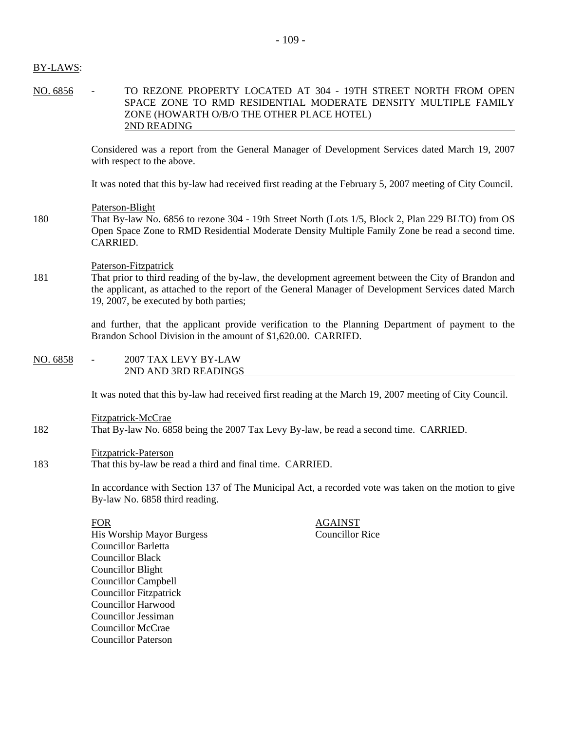# BY-LAWS:

NO. 6856 - TO REZONE PROPERTY LOCATED AT 304 - 19TH STREET NORTH FROM OPEN SPACE ZONE TO RMD RESIDENTIAL MODERATE DENSITY MULTIPLE FAMILY ZONE (HOWARTH O/B/O THE OTHER PLACE HOTEL) 2ND READING

> Considered was a report from the General Manager of Development Services dated March 19, 2007 with respect to the above.

> It was noted that this by-law had received first reading at the February 5, 2007 meeting of City Council.

# Paterson-Blight

180 That By-law No. 6856 to rezone 304 - 19th Street North (Lots 1/5, Block 2, Plan 229 BLTO) from OS Open Space Zone to RMD Residential Moderate Density Multiple Family Zone be read a second time. CARRIED.

# Paterson-Fitzpatrick

181 That prior to third reading of the by-law, the development agreement between the City of Brandon and the applicant, as attached to the report of the General Manager of Development Services dated March 19, 2007, be executed by both parties;

> and further, that the applicant provide verification to the Planning Department of payment to the Brandon School Division in the amount of \$1,620.00. CARRIED.

#### NO. 6858 - 2007 TAX LEVY BY-LAW 2ND AND 3RD READINGS

It was noted that this by-law had received first reading at the March 19, 2007 meeting of City Council.

Fitzpatrick-McCrae 182 That By-law No. 6858 being the 2007 Tax Levy By-law, be read a second time. CARRIED.

# Fitzpatrick-Paterson

183 That this by-law be read a third and final time. CARRIED.

In accordance with Section 137 of The Municipal Act, a recorded vote was taken on the motion to give By-law No. 6858 third reading.

FOR<br>
His Worship Mayor Burgess<br>
His Worship Mayor Burgess<br>
Councillor Rice His Worship Mayor Burgess Councillor Barletta Councillor Black Councillor Blight Councillor Campbell Councillor Fitzpatrick Councillor Harwood Councillor Jessiman Councillor McCrae Councillor Paterson